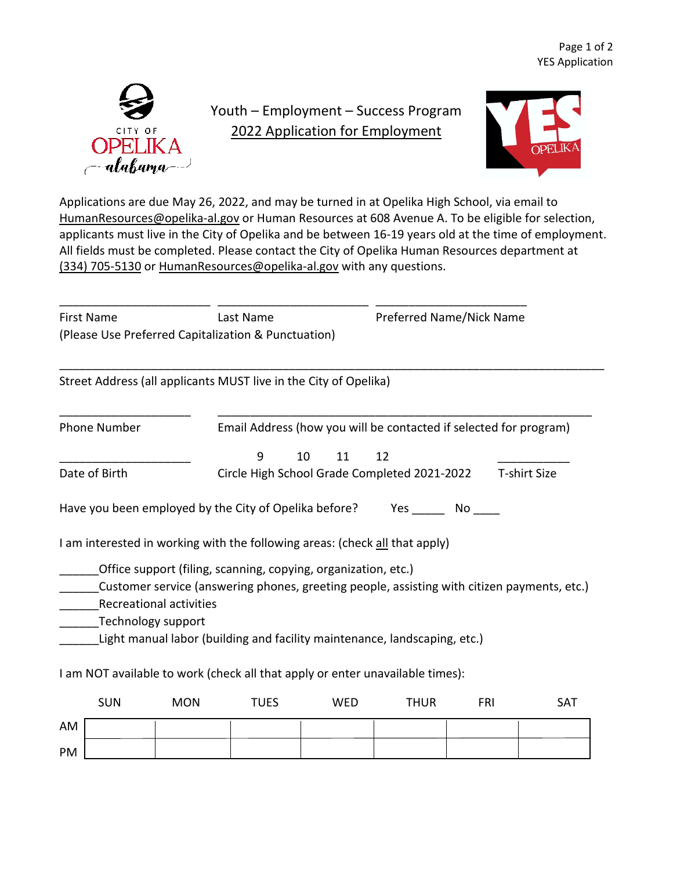

## Youth – Employment – Success Program 2022 Application for Employment



Applications are due May 26, 2022, and may be turned in at Opelika High School, via email to [HumanResources@opelika-al.gov](mailto:HumanResources@opelika-al.gov) or Human Resources at 608 Avenue A. To be eligible for selection, applicants must live in the City of Opelika and be between 16-19 years old at the time of employment. All fields must be completed. Please contact the City of Opelika Human Resources department at (334) 705-5130 or [HumanResources@opelika-al.gov](mailto:HumanResources@opelika-al.gov) with any questions.

| <b>First Name</b>   |                    |                                                                                                                                                               | Last Name                                                           |            | Preferred Name/Nick Name |            |            |  |
|---------------------|--------------------|---------------------------------------------------------------------------------------------------------------------------------------------------------------|---------------------------------------------------------------------|------------|--------------------------|------------|------------|--|
|                     |                    | (Please Use Preferred Capitalization & Punctuation)                                                                                                           |                                                                     |            |                          |            |            |  |
|                     |                    | Street Address (all applicants MUST live in the City of Opelika)                                                                                              |                                                                     |            |                          |            |            |  |
| <b>Phone Number</b> |                    |                                                                                                                                                               | Email Address (how you will be contacted if selected for program)   |            |                          |            |            |  |
|                     |                    |                                                                                                                                                               | 9                                                                   | 10<br>11   | 12                       |            |            |  |
| Date of Birth       |                    |                                                                                                                                                               | Circle High School Grade Completed 2021-2022<br><b>T-shirt Size</b> |            |                          |            |            |  |
|                     |                    | I am interested in working with the following areas: (check all that apply)                                                                                   |                                                                     |            |                          |            |            |  |
|                     |                    |                                                                                                                                                               |                                                                     |            |                          |            |            |  |
|                     |                    | Office support (filing, scanning, copying, organization, etc.)<br>Customer service (answering phones, greeting people, assisting with citizen payments, etc.) |                                                                     |            |                          |            |            |  |
|                     |                    |                                                                                                                                                               |                                                                     |            |                          |            |            |  |
|                     |                    | <b>Recreational activities</b>                                                                                                                                |                                                                     |            |                          |            |            |  |
|                     | Technology support |                                                                                                                                                               |                                                                     |            |                          |            |            |  |
|                     |                    | Light manual labor (building and facility maintenance, landscaping, etc.)                                                                                     |                                                                     |            |                          |            |            |  |
|                     |                    | I am NOT available to work (check all that apply or enter unavailable times):                                                                                 |                                                                     |            |                          |            |            |  |
|                     | <b>SUN</b>         | <b>MON</b>                                                                                                                                                    | <b>TUES</b>                                                         | <b>WED</b> | <b>THUR</b>              | <b>FRI</b> | <b>SAT</b> |  |
| AM                  |                    |                                                                                                                                                               |                                                                     |            |                          |            |            |  |